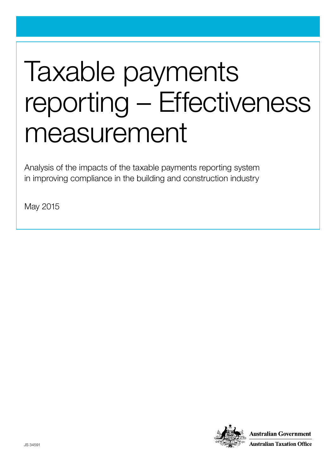# Taxable payments reporting – Effectiveness measurement

Analysis of the impacts of the taxable payments reporting system in improving compliance in the building and construction industry

May 2015

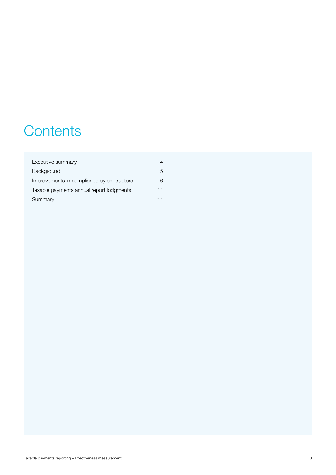# **Contents**

| Executive summary                         |    |
|-------------------------------------------|----|
| Background                                | 5  |
| Improvements in compliance by contractors | 6  |
| Taxable payments annual report lodgments  | 11 |
| Summary                                   | 11 |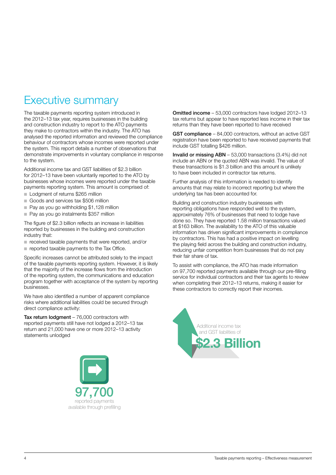# <span id="page-3-0"></span>Executive summary

The taxable payments reporting system introduced in the 2012–13 tax year, requires businesses in the building and construction industry to report to the ATO payments they make to contractors within the industry. The ATO has analysed the reported information and reviewed the compliance behaviour of contractors whose incomes were reported under the system. This report details a number of observations that demonstrate improvements in voluntary compliance in response to the system.

Additional income tax and GST liabilities of \$2.3 billion for 2012–13 have been voluntarily reported to the ATO by businesses whose incomes were reported under the taxable payments reporting system. This amount is comprised of:

- Lodgment of returns \$265 million
- Goods and services tax \$506 million
- Pay as you go withholding \$1,128 million
- Pay as you go instalments \$357 million

The figure of \$2.3 billion reflects an increase in liabilities reported by businesses in the building and construction industry that:

- received taxable payments that were reported, and/or
- reported taxable payments to the Tax Office.

Specific increases cannot be attributed solely to the impact of the taxable payments reporting system. However, it is likely that the majority of the increase flows from the introduction of the reporting system, the communications and education program together with acceptance of the system by reporting businesses.

We have also identified a number of apparent compliance risks where additional liabilities could be secured through direct compliance activity:

Tax return lodgment – 76,000 contractors with reported payments still have not lodged a 2012–13 tax return and 21,000 have one or more 2012–13 activity statements unlodged



Omitted income – 53,000 contractors have lodged 2012–13 tax returns but appear to have reported less income in their tax returns than they have been reported to have received

GST compliance – 84,000 contractors, without an active GST registration have been reported to have received payments that include GST totalling \$426 million.

Invalid or missing ABN – 53,000 transactions (3.4%) did not include an ABN or the quoted ABN was invalid. The value of these transactions is \$1.3 billion and this amount is unlikely to have been included in contractor tax returns.

Further analysis of this information is needed to identify amounts that may relate to incorrect reporting but where the underlying tax has been accounted for.

Building and construction industry businesses with reporting obligations have responded well to the system, approximately 76% of businesses that need to lodge have done so. They have reported 1.58 million transactions valued at \$163 billion. The availability to the ATO of this valuable information has driven significant improvements in compliance by contractors. This has had a positive impact on levelling the playing field across the building and construction industry, reducing unfair competition from businesses that do not pay their fair share of tax.

To assist with compliance, the ATO has made information on 97,700 reported payments available through our pre-filling service for individual contractors and their tax agents to review when completing their 2012–13 returns, making it easier for these contractors to correctly report their incomes.

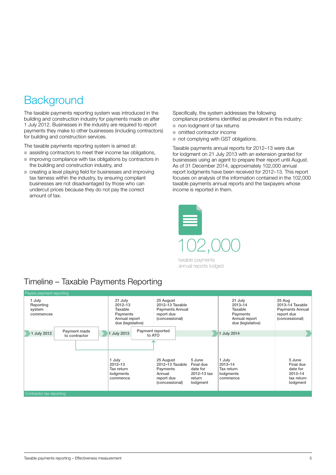# <span id="page-4-0"></span>**Background**

The taxable payments reporting system was introduced in the building and construction industry for payments made on after 1 July 2012. Businesses in the industry are required to report payments they make to other businesses (including contractors) for building and construction services.

The taxable payments reporting system is aimed at:

- assisting contractors to meet their income tax obligations,
- improving compliance with tax obligations by contractors in the building and construction industry, and
- creating a level playing field for businesses and improving tax fairness within the industry, by ensuring compliant businesses are not disadvantaged by those who can undercut prices because they do not pay the correct amount of tax.

Specifically, the system addresses the following compliance problems identified as prevalent in this industry:

- non-lodgment of tax returns
- omitted contractor income
- not complying with GST obligations.

Taxable payments annual reports for 2012–13 were due for lodgment on 21 July 2013 with an extension granted for businesses using an agent to prepare their report until August. As of 31 December 2014, approximately 102,000 annual report lodgments have been received for 2012–13. This report focuses on analysis of the information contained in the 102,000 taxable payments annual reports and the taxpayers whose income is reported in them.



taxable payments annual reports lodged

## Timeline – Taxable Payments Reporting

| Payers payment reporting<br>1 July<br>Reporting<br>system<br>commences | 21 July<br>$2012 - 13$<br>Taxable<br>Payments<br>Annual report<br>due (legislative)                            | 25 August<br>2012-13 Taxable<br><b>Payments Annual</b><br>report due<br>(concessional)                                                                     | 21 July<br>$2013 - 14$<br>Taxable<br>Payments<br>Annual report<br>due (legislative) | 25 Aug<br>2013-14 Taxable<br><b>Payments Annual</b><br>report due<br>(concessional) |
|------------------------------------------------------------------------|----------------------------------------------------------------------------------------------------------------|------------------------------------------------------------------------------------------------------------------------------------------------------------|-------------------------------------------------------------------------------------|-------------------------------------------------------------------------------------|
| Payment made<br>1 July 2012<br>to contractor                           | Payment reported<br><b>July 2013</b><br>to ATO<br>1 July<br>$2012 - 13$<br>Tax return<br>lodgments<br>commence | 5 June<br>25 August<br>2012-13 Taxable<br>Final due<br>date for<br>Payments<br>2012-13 tax<br>Annual<br>report due<br>return<br>(concessional)<br>lodgment | 1 July 2014<br>1 July<br>2013-14<br>Tax return<br>lodgments<br>commence             | 5 June<br>Final due<br>date for<br>2013-14<br>tax return<br>lodgment                |
| Contractor tax reporting                                               |                                                                                                                |                                                                                                                                                            |                                                                                     |                                                                                     |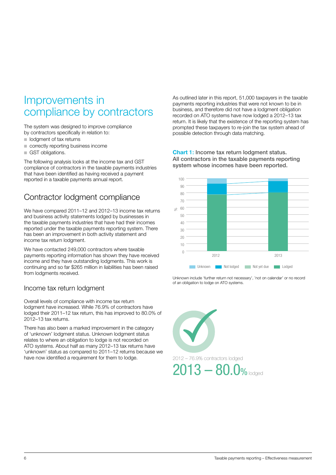# <span id="page-5-0"></span>Improvements in compliance by contractors

The system was designed to improve compliance by contractors specifically in relation to:

- lodgment of tax returns
- correctly reporting business income
- GST obligations.

The following analysis looks at the income tax and GST compliance of contractors in the taxable payments industries that have been identified as having received a payment reported in a taxable payments annual report.

# Contractor lodgment compliance

We have compared 2011–12 and 2012–13 income tax returns and business activity statements lodged by businesses in the taxable payments industries that have had their incomes reported under the taxable payments reporting system. There has been an improvement in both activity statement and income tax return lodgment.

We have contacted 249,000 contractors where taxable payments reporting information has shown they have received income and they have outstanding lodgments. This work is continuing and so far \$265 million in liabilities has been raised from lodgments received.

#### Income tax return lodgment

Overall levels of compliance with income tax return lodgment have increased. While 76.9% of contractors have lodged their 2011–12 tax return, this has improved to 80.0% of 2012–13 tax returns.

There has also been a marked improvement in the category of 'unknown' lodgment status. Unknown lodgment status relates to where an obligation to lodge is not recorded on ATO systems. About half as many 2012–13 tax returns have 'unknown' status as compared to 2011–12 returns because we have now identified a requirement for them to lodge.

As outlined later in this report, 51,000 taxpayers in the taxable payments reporting industries that were not known to be in business, and therefore did not have a lodgment obligation recorded on ATO systems have now lodged a 2012–13 tax return. It is likely that the existence of the reporting system has prompted these taxpayers to re-join the tax system ahead of possible detection through data matching.

Chart 1: Income tax return lodgment status. All contractors in the taxable payments reporting system whose incomes have been reported.



Unknown include 'further return not necessary', 'not on calendar' or no record of an obligation to lodge on ATO systems.

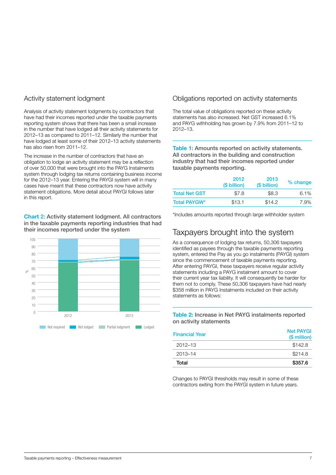#### Activity statement lodgment

Analysis of activity statement lodgments by contractors that have had their incomes reported under the taxable payments reporting system shows that there has been a small increase in the number that have lodged all their activity statements for 2012–13 as compared to 2011–12. Similarly the number that have lodged at least some of their 2012–13 activity statements has also risen from 2011-12.

The increase in the number of contractors that have an obligation to lodge an activity statement may be a reflection of over 50,000 that were brought into the PAYG Instalments system through lodging tax returns containing business income for the 2012–13 year. Entering the PAYGI system will in many cases have meant that these contractors now have activity statement obligations. More detail about PAYGI follows later in this report.

Chart 2: Activity statement lodgment. All contractors in the taxable payments reporting industries that had their incomes reported under the system



#### Obligations reported on activity statements

The total value of obligations reported on these activity statements has also increased. Net GST increased 6.1% and PAYG withholding has grown by 7.9% from 2011–12 to 2012–13.

Table 1: Amounts reported on activity statements. All contractors in the building and construction industry that had their incomes reported under taxable payments reporting.

|                      | 2012<br>(\$ billion) | 2013<br>(\$ billion) | % change |
|----------------------|----------------------|----------------------|----------|
| <b>Total Net GST</b> | \$7.8                | \$8.3                | 6.1%     |
| <b>Total PAYGW*</b>  | \$13.1               | \$14.2               | 7.9%     |

\*Includes amounts reported through large withholder system

## Taxpayers brought into the system

As a consequence of lodging tax returns, 50,306 taxpayers identified as payees through the taxable payments reporting system, entered the Pay as you go instalments (PAYGI) system since the commencement of taxable payments reporting. After entering PAYGI, these taxpayers receive regular activity statements including a PAYG instalment amount to cover their current year tax liability. It will consequently be harder for them not to comply. These 50,306 taxpayers have had nearly \$358 million in PAYG Instalments included on their activity statements as follows:

Table 2: Increase in Net PAYG instalments reported on activity statements

| <b>Financial Year</b> | <b>Net PAYGI</b><br>(\$ million) |
|-----------------------|----------------------------------|
| $2012 - 13$           | \$142.8                          |
| 2013-14               | \$214.8                          |
| Total                 | \$357.6                          |

Changes to PAYGI thresholds may result in some of these contractors exiting from the PAYGI system in future years.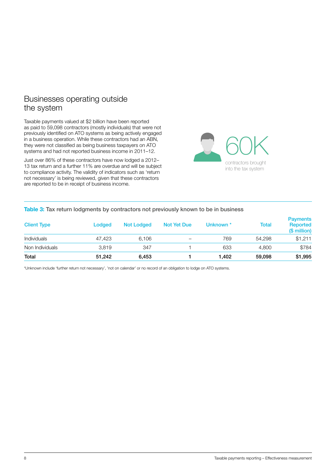### Businesses operating outside the system

Taxable payments valued at \$2 billion have been reported as paid to 59,098 contractors (mostly individuals) that were not previously identified on ATO systems as being actively engaged in a business operation. While these contractors had an ABN, they were not classified as being business taxpayers on ATO systems and had not reported business income in 2011–12.

Just over 86% of these contractors have now lodged a 2012– 13 tax return and a further 11% are overdue and will be subject to compliance activity. The validity of indicators such as 'return not necessary' is being reviewed, given that these contractors are reported to be in receipt of business income.



#### Table 3: Tax return lodgments by contractors not previously known to be in business

| <b>Client Type</b> | Lodged | <b>Not Lodged</b> | <b>Not Yet Due</b> | Unknown <sup>*</sup> | Total  | <b>Payments</b><br>Reported<br>(\$ million) |
|--------------------|--------|-------------------|--------------------|----------------------|--------|---------------------------------------------|
| Individuals        | 47.423 | 6.106             | -                  | 769                  | 54.298 | \$1.211                                     |
| Non Individuals    | 3.819  | 347               |                    | 633                  | 4.800  | \$784                                       |
| Total              | 51.242 | 6,453             |                    | 1.402                | 59,098 | \$1,995                                     |

\*Unknown include 'further return not necessary', 'not on calendar' or no record of an obligation to lodge on ATO systems.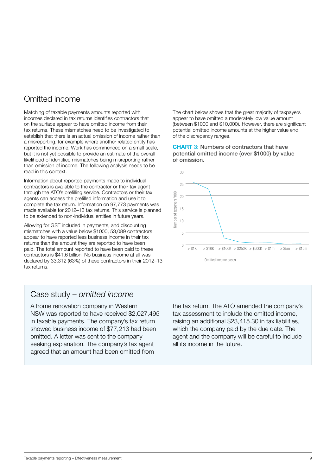## Omitted income

Matching of taxable payments amounts reported with incomes declared in tax returns identifies contractors that on the surface appear to have omitted income from their tax returns. These mismatches need to be investigated to establish that there is an actual omission of income rather than a misreporting, for example where another related entity has reported the income. Work has commenced on a small scale, but it is not yet possible to provide an estimate of the overall likelihood of identified mismatches being misreporting rather than omission of income. The following analysis needs to be read in this context.

Information about reported payments made to individual contractors is available to the contractor or their tax agent through the ATO's prefilling service. Contractors or their tax agents can access the prefilled information and use it to complete the tax return. Information on 97,773 payments was made available for 2012–13 tax returns. This service is planned to be extended to non-individual entities in future years.

Allowing for GST included in payments, and discounting mismatches with a value below \$1000, 53,089 contractors appear to have reported less business income in their tax returns than the amount they are reported to have been paid. The total amount reported to have been paid to these contractors is \$41.6 billion. No business income at all was declared by 33,312 (63%) of these contractors in their 2012–13 tax returns.

The chart below shows that the great majority of taxpayers appear to have omitted a moderately low value amount (between \$1000 and \$10,000). However, there are significant potential omitted income amounts at the higher value end of the discrepancy ranges.

CHART 3: Numbers of contractors that have potential omitted income (over \$1000) by value of omission.



### Case study – *omitted income*

A home renovation company in Western NSW was reported to have received \$2,027,495 in taxable payments. The company's tax return showed business income of \$77,213 had been omitted. A letter was sent to the company seeking explanation. The company's tax agent agreed that an amount had been omitted from

the tax return. The ATO amended the company's tax assessment to include the omitted income, raising an additional \$23,415.30 in tax liabilities, which the company paid by the due date. The agent and the company will be careful to include all its income in the future.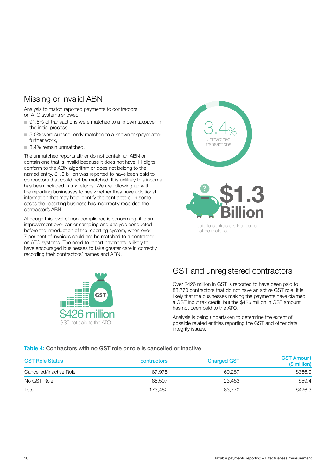## Missing or invalid ABN

Analysis to match reported payments to contractors on ATO systems showed:

- 91.6% of transactions were matched to a known taxpayer in the initial process,
- 5.0% were subsequently matched to a known taxpayer after further work,
- 3.4% remain unmatched.

The unmatched reports either do not contain an ABN or contain one that is invalid because it does not have 11 digits, conform to the ABN algorithm or does not belong to the named entity. \$1.3 billion was reported to have been paid to contractors that could not be matched. It is unlikely this income has been included in tax returns. We are following up with the reporting businesses to see whether they have additional information that may help identify the contractors. In some cases the reporting business has incorrectly recorded the contractor's ABN.

Although this level of non-compliance is concerning, it is an improvement over earlier sampling and analysis conducted before the introduction of the reporting system, when over 7 per cent of invoices could not be matched to a contractor on ATO systems. The need to report payments is likely to have encouraged businesses to take greater care in correctly recording their contractors' names and ABN.





## GST and unregistered contractors

Over \$426 million in GST is reported to have been paid to 83,770 contractors that do not have an active GST role. It is likely that the businesses making the payments have claimed a GST input tax credit, but the \$426 million in GST amount has not been paid to the ATO.

Analysis is being undertaken to determine the extent of possible related entities reporting the GST and other data integrity issues.

#### Table 4: Contractors with no GST role or role is cancelled or inactive

| <b>GST Role Status</b>  | contractors | <b>Charged GST</b> | <b>GST Amount</b><br>(\$ million) |
|-------------------------|-------------|--------------------|-----------------------------------|
| Cancelled/Inactive Role | 87.975      | 60.287             | \$366.9                           |
| No GST Role             | 85,507      | 23,483             | \$59.4                            |
| Total                   | 173.482     | 83,770             | \$426.3                           |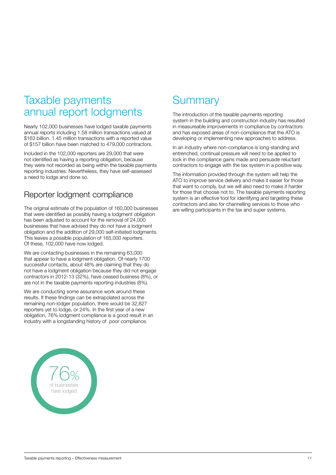# <span id="page-10-0"></span>Taxable payments annual report lodgments

Nearly 102,000 businesses have lodged taxable payments annual reports including 1.58 million transactions valued at \$163 billion. 1.45 million transactions with a reported value of \$157 billion have been matched to 479,000 contractors.

Included in the 102,000 reporters are 29,000 that were not identified as having a reporting obligation, because they were not recorded as being within the taxable payments reporting industries. Nevertheless, they have self-assessed a need to lodge and done so.

## Reporter lodgment compliance

The original estimate of the population of 160,000 businesses that were identified as possibly having a lodgment obligation has been adjusted to account for the removal of 24,000 businesses that have advised they do not have a lodgment obligation and the addition of 29,000 self-initiated lodgments. This leaves a possible population of 165,000 reporters. Of these, 102,000 have now lodged.

We are contacting businesses in the remaining 63,000 that appear to have a lodgment obligation. Of nearly 1700 successful contacts, about 48% are claiming that they do not have a lodgment obligation because they did not engage contractors in 2012-13 (32%), have ceased business (8%), or are not in the taxable payments reporting industries (8%).

We are conducting some assurance work around these results. If these findings can be extrapolated across the remaining non-lodger population, there would be 32,827 reporters yet to lodge, or 24%. In the first year of a new obligation, 76% lodgment compliance is a good result in an industry with a longstanding history of poor compliance.



# **Summary**

The introduction of the taxable payments reporting system in the building and construction industry has resulted in measureable improvements in compliance by contractors and has exposed areas of non-compliance that the ATO is developing or implementing new approaches to address.

In an industry where non-compliance is long-standing and entrenched, continual pressure will need to be applied to lock in the compliance gains made and persuade reluctant contractors to engage with the tax system in a positive way.

The information provided through the system will help the ATO to improve service delivery and make it easier for those that want to comply, but we will also need to make it harder for those that choose not to. The taxable payments reporting system is an effective tool for identifying and targeting these contractors and also for channelling services to those who are willing participants in the tax and super systems.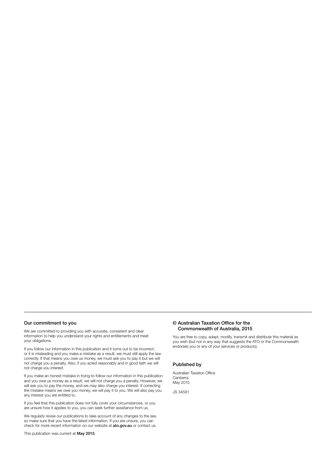#### Our commitment to you

We are committed to providing you with accurate, consistent and clear information to help you understand your rights and entitlements and meet your obligations.

If you follow our information in this publication and it turns out to be incorrect, or it is misleading and you make a mistake as a result, we must still apply the law correctly. If that means you owe us money, we must ask you to pay it but we will not charge you a penalty. Also, if you acted reasonably and in good faith we will not charge you interest.

If you make an honest mistake in trying to follow our information in this publication and you owe us money as a result, we will not charge you a penalty. However, we will ask you to pay the money, and we may also charge you interest. If correcting the mistake means we owe you money, we will pay it to you. We will also pay you any interest you are entitled to.

If you feel that this publication does not fully cover your circumstances, or you are unsure how it applies to you, you can seek further assistance from us.

We regularly revise our publications to take account of any changes to the law, so make sure that you have the latest information. If you are unsure, you can check for more recent information on our website at ato.gov.au or contact us.

This publication was current at May 2015.

#### © Australian Taxation Office for the Commonwealth of Australia, 2015

You are free to copy, adapt, modify, transmit and distribute this material as you wish (but not in any way that suggests the ATO or the Commonwealth endorses you or any of your services or products).

#### Published by

Australian Taxation Office Canberra May 2015

JS 34591